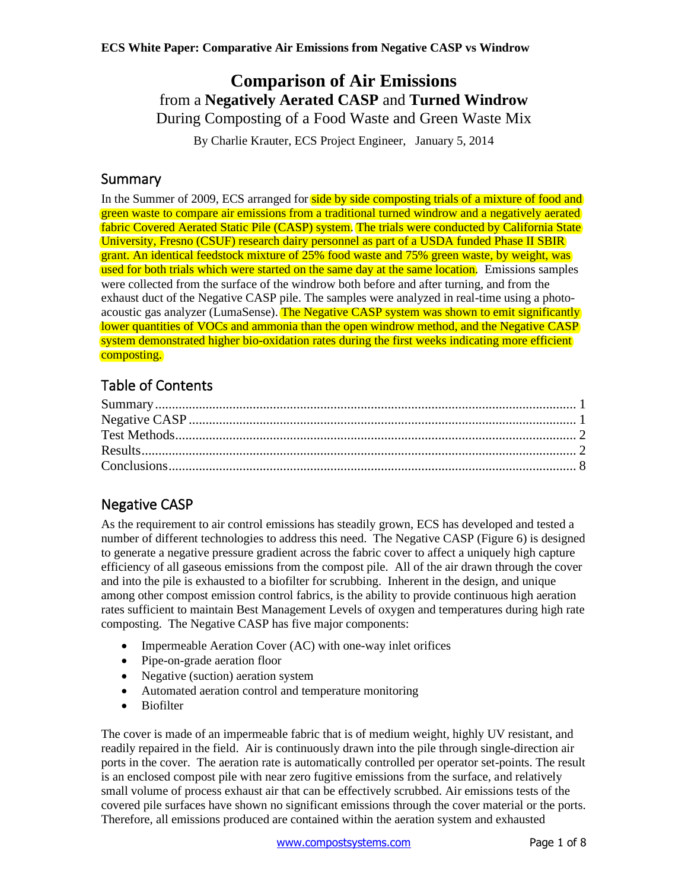## **Comparison of Air Emissions**  from a **Negatively Aerated CASP** and **Turned Windrow** During Composting of a Food Waste and Green Waste Mix

By Charlie Krauter, ECS Project Engineer, January 5, 2014

## <span id="page-0-0"></span>Summary

In the Summer of 2009, ECS arranged for side by side composting trials of a mixture of food and green waste to compare air emissions from a traditional turned windrow and a negatively aerated fabric Covered Aerated Static Pile (CASP) system. The trials were conducted by California State University, Fresno (CSUF) research dairy personnel as part of a USDA funded Phase II SBIR grant. An identical feedstock mixture of 25% food waste and 75% green waste, by weight, was used for both trials which were started on the same day at the same location. Emissions samples were collected from the surface of the windrow both before and after turning, and from the exhaust duct of the Negative CASP pile. The samples were analyzed in real-time using a photoacoustic gas analyzer (LumaSense). The Negative CASP system was shown to emit significantly lower quantities of VOCs and ammonia than the open windrow method, and the Negative CASP system demonstrated higher bio-oxidation rates during the first weeks indicating more efficient composting.

# Table of Contents

# <span id="page-0-1"></span>Negative CASP

As the requirement to air control emissions has steadily grown, ECS has developed and tested a number of different technologies to address this need. The Negative CASP (Figure 6) is designed to generate a negative pressure gradient across the fabric cover to affect a uniquely high capture efficiency of all gaseous emissions from the compost pile. All of the air drawn through the cover and into the pile is exhausted to a biofilter for scrubbing. Inherent in the design, and unique among other compost emission control fabrics, is the ability to provide continuous high aeration rates sufficient to maintain Best Management Levels of oxygen and temperatures during high rate composting. The Negative CASP has five major components:

- Impermeable Aeration Cover (AC) with one-way inlet orifices
- Pipe-on-grade aeration floor
- Negative (suction) aeration system
- Automated aeration control and temperature monitoring
- Biofilter

The cover is made of an impermeable fabric that is of medium weight, highly UV resistant, and readily repaired in the field. Air is continuously drawn into the pile through single-direction air ports in the cover. The aeration rate is automatically controlled per operator set-points. The result is an enclosed compost pile with near zero fugitive emissions from the surface, and relatively small volume of process exhaust air that can be effectively scrubbed. Air emissions tests of the covered pile surfaces have shown no significant emissions through the cover material or the ports. Therefore, all emissions produced are contained within the aeration system and exhausted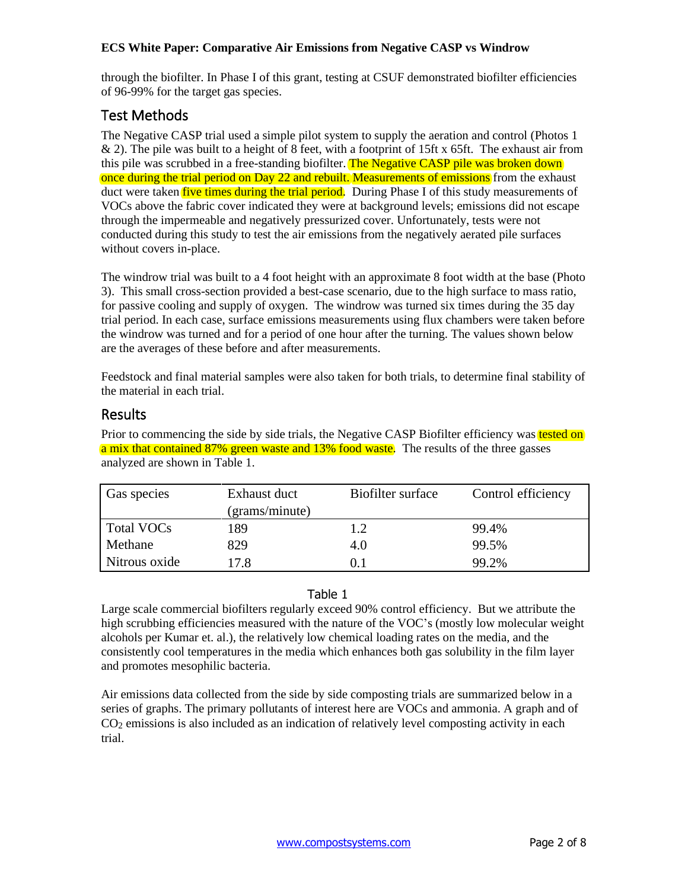through the biofilter. In Phase I of this grant, testing at CSUF demonstrated biofilter efficiencies of 96-99% for the target gas species.

## <span id="page-1-0"></span>Test Methods

The Negative CASP trial used a simple pilot system to supply the aeration and control (Photos 1 & 2). The pile was built to a height of 8 feet, with a footprint of 15ft x 65ft. The exhaust air from this pile was scrubbed in a free-standing biofilter. The Negative CASP pile was broken down once during the trial period on Day 22 and rebuilt. Measurements of emissions from the exhaust duct were taken *five times during the trial period*. During Phase I of this study measurements of VOCs above the fabric cover indicated they were at background levels; emissions did not escape through the impermeable and negatively pressurized cover. Unfortunately, tests were not conducted during this study to test the air emissions from the negatively aerated pile surfaces without covers in-place.

The windrow trial was built to a 4 foot height with an approximate 8 foot width at the base (Photo 3). This small cross-section provided a best-case scenario, due to the high surface to mass ratio, for passive cooling and supply of oxygen. The windrow was turned six times during the 35 day trial period. In each case, surface emissions measurements using flux chambers were taken before the windrow was turned and for a period of one hour after the turning. The values shown below are the averages of these before and after measurements.

Feedstock and final material samples were also taken for both trials, to determine final stability of the material in each trial.

## <span id="page-1-1"></span>Results

Prior to commencing the side by side trials, the Negative CASP Biofilter efficiency was tested on a mix that contained 87% green waste and 13% food waste. The results of the three gasses analyzed are shown in Table 1.

| Gas species   | Exhaust duct   | Biofilter surface | Control efficiency |
|---------------|----------------|-------------------|--------------------|
|               | (grams/minute) |                   |                    |
| Total VOCs    | 189            | 1.2               | 99.4%              |
| Methane       | 829            | 4.0               | 99.5%              |
| Nitrous oxide | 17.8           |                   | 99.2%              |

#### Table 1

Large scale commercial biofilters regularly exceed 90% control efficiency. But we attribute the high scrubbing efficiencies measured with the nature of the VOC's (mostly low molecular weight alcohols per Kumar et. al.), the relatively low chemical loading rates on the media, and the consistently cool temperatures in the media which enhances both gas solubility in the film layer and promotes mesophilic bacteria.

Air emissions data collected from the side by side composting trials are summarized below in a series of graphs. The primary pollutants of interest here are VOCs and ammonia. A graph and of CO2 emissions is also included as an indication of relatively level composting activity in each trial.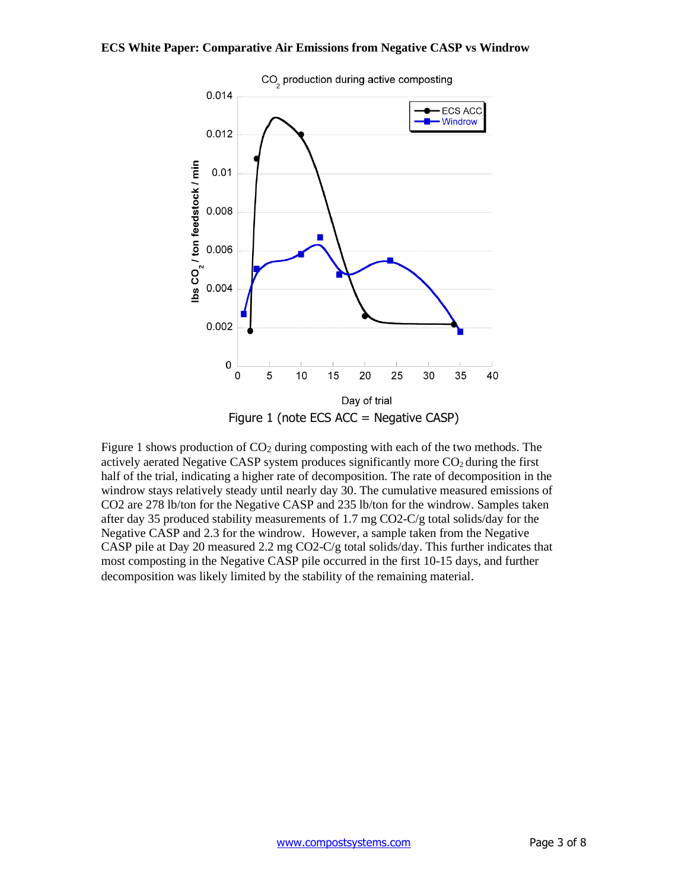

Figure 1 shows production of  $CO<sub>2</sub>$  during composting with each of the two methods. The actively aerated Negative CASP system produces significantly more  $CO<sub>2</sub>$  during the first half of the trial, indicating a higher rate of decomposition. The rate of decomposition in the windrow stays relatively steady until nearly day 30. The cumulative measured emissions of CO2 are 278 lb/ton for the Negative CASP and 235 lb/ton for the windrow. Samples taken after day 35 produced stability measurements of 1.7 mg CO2-C/g total solids/day for the Negative CASP and 2.3 for the windrow. However, a sample taken from the Negative CASP pile at Day 20 measured 2.2 mg CO2-C/g total solids/day. This further indicates that most composting in the Negative CASP pile occurred in the first 10-15 days, and further decomposition was likely limited by the stability of the remaining material.

CO<sub>2</sub> production during active composting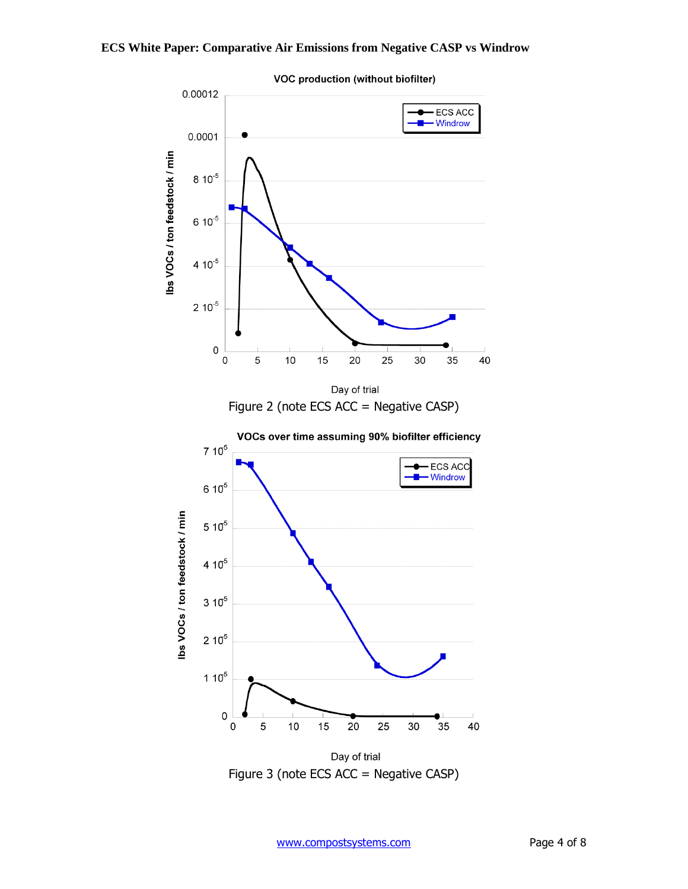

VOC production (without biofilter)

Figure 3 (note ECS ACC = Negative CASP)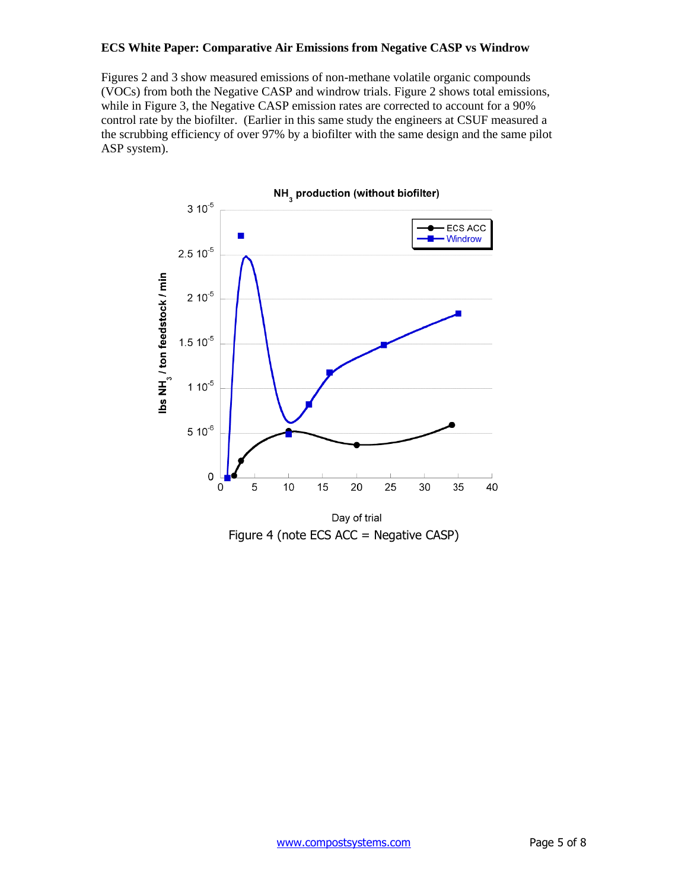Figures 2 and 3 show measured emissions of non-methane volatile organic compounds (VOCs) from both the Negative CASP and windrow trials. Figure 2 shows total emissions, while in Figure 3, the Negative CASP emission rates are corrected to account for a 90% control rate by the biofilter. (Earlier in this same study the engineers at CSUF measured a the scrubbing efficiency of over 97% by a biofilter with the same design and the same pilot ASP system).



Figure 4 (note ECS ACC = Negative CASP)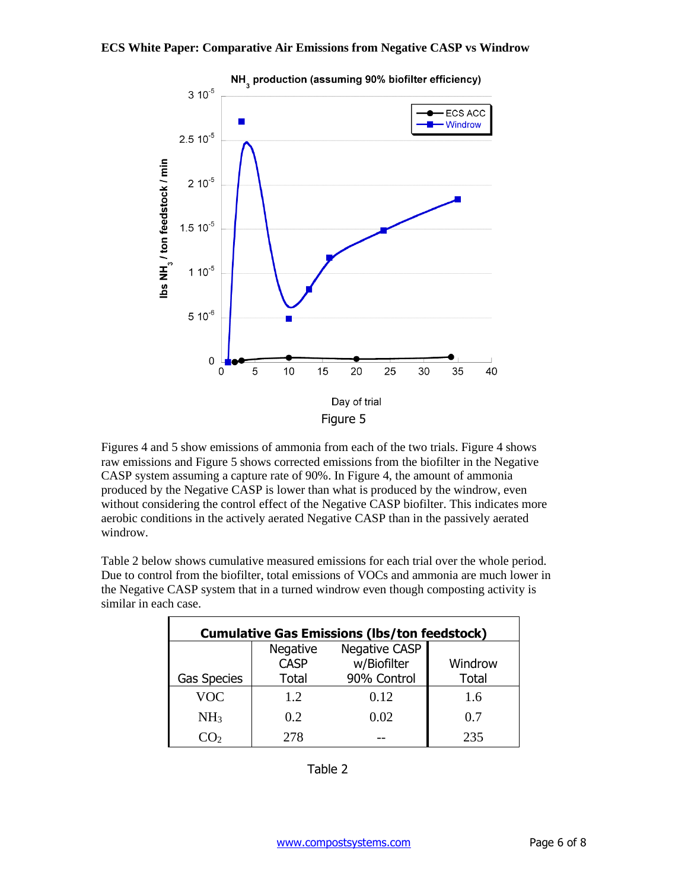

Figures 4 and 5 show emissions of ammonia from each of the two trials. Figure 4 shows raw emissions and Figure 5 shows corrected emissions from the biofilter in the Negative CASP system assuming a capture rate of 90%. In Figure 4, the amount of ammonia produced by the Negative CASP is lower than what is produced by the windrow, even without considering the control effect of the Negative CASP biofilter. This indicates more aerobic conditions in the actively aerated Negative CASP than in the passively aerated windrow.

Table 2 below shows cumulative measured emissions for each trial over the whole period. Due to control from the biofilter, total emissions of VOCs and ammonia are much lower in the Negative CASP system that in a turned windrow even though composting activity is similar in each case.

| <b>Cumulative Gas Emissions (Ibs/ton feedstock)</b> |                         |                      |              |  |  |  |
|-----------------------------------------------------|-------------------------|----------------------|--------------|--|--|--|
|                                                     | Negative<br><b>CASP</b> | <b>Negative CASP</b> |              |  |  |  |
|                                                     |                         | w/Biofilter          | Windrow      |  |  |  |
| <b>Gas Species</b>                                  | Total                   | 90% Control          | <b>Total</b> |  |  |  |
| <b>VOC</b>                                          | 12                      | 0.12                 | 1.6          |  |  |  |
| NH <sub>3</sub>                                     | 0.2                     | 0.02                 | 0.7          |  |  |  |
| いい                                                  | 278                     |                      | 235          |  |  |  |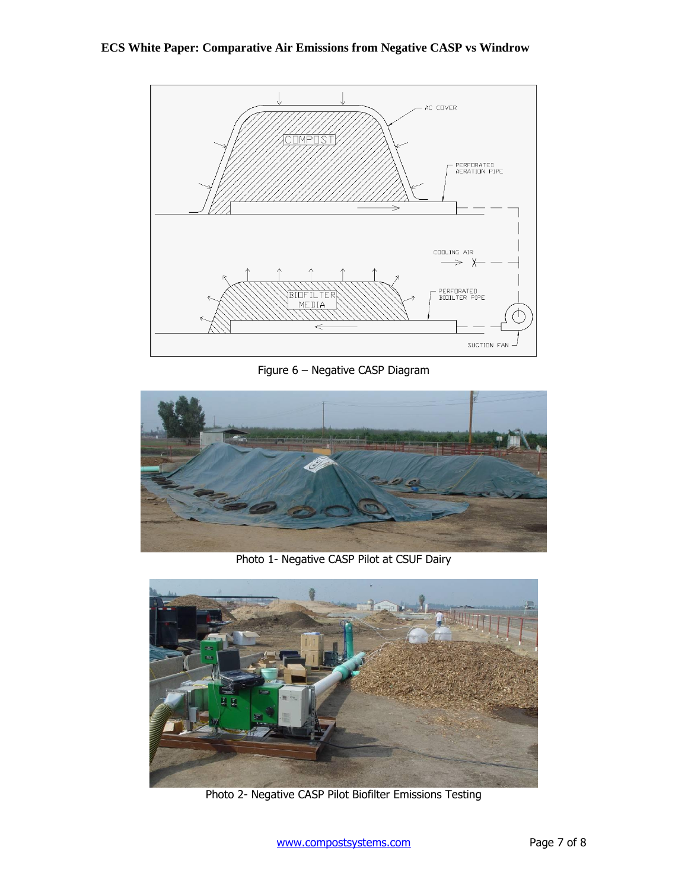

Figure 6 – Negative CASP Diagram



Photo 1- Negative CASP Pilot at CSUF Dairy



Photo 2- Negative CASP Pilot Biofilter Emissions Testing